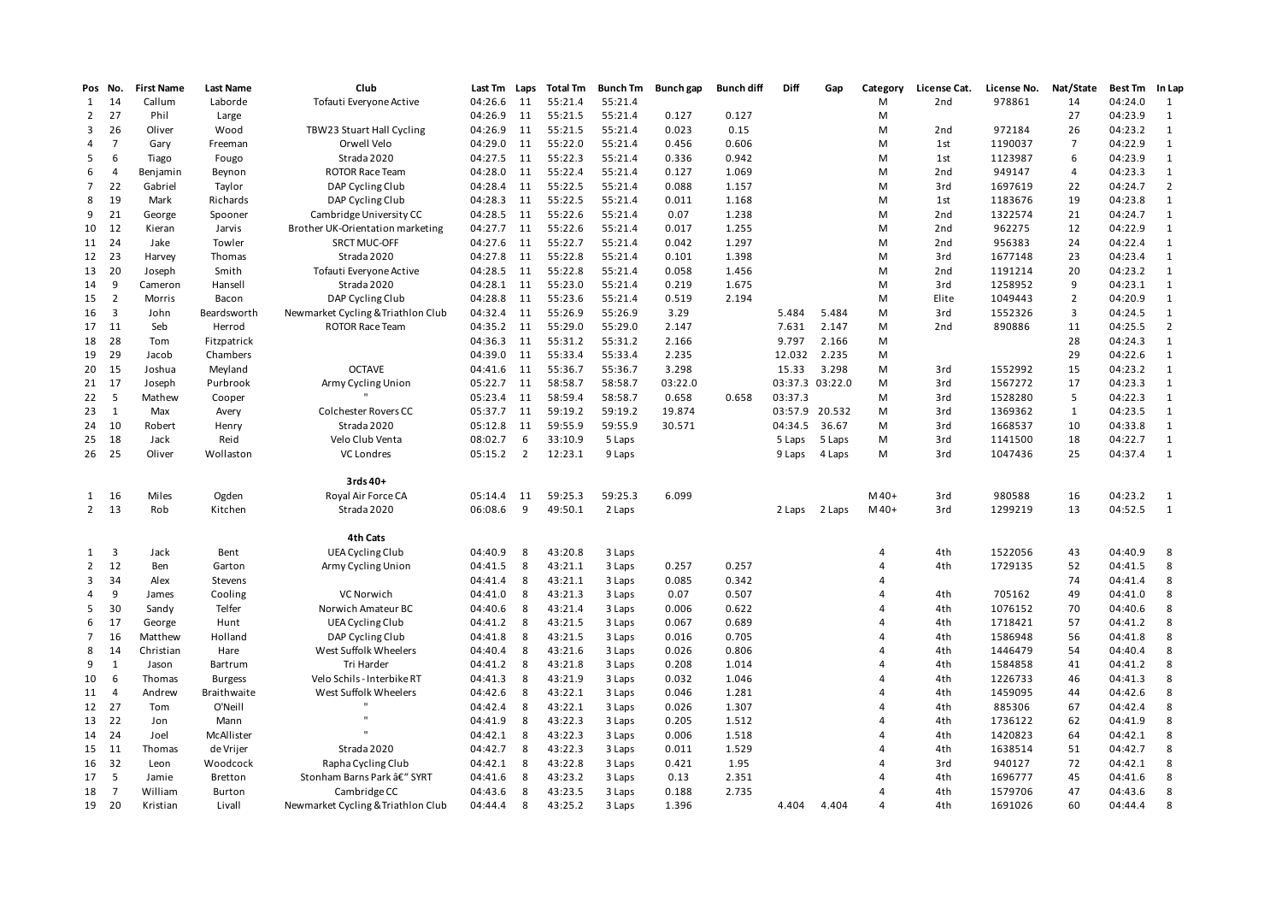| Pos            | No.                     | <b>First Name</b> | <b>Last Name</b>   | Club                               | Last Tm | Laps           | <b>Total Tm</b> | <b>Bunch Tm</b> | Bunch gap | <b>Bunch diff</b> | Diff            | Gap    | Category       | License Cat.    | License No.       | Nat/State      | Best Tm | In Lap         |
|----------------|-------------------------|-------------------|--------------------|------------------------------------|---------|----------------|-----------------|-----------------|-----------|-------------------|-----------------|--------|----------------|-----------------|-------------------|----------------|---------|----------------|
| 1              | -14                     | Callum            | Laborde            | Tofauti Everyone Active            | 04:26.6 | 11             | 55:21.4         | 55:21.4         |           |                   |                 |        | М              | 2nd             | 978861            | 14             | 04:24.0 | 1              |
| $\overline{2}$ | 27                      | Phil              | Large              |                                    | 04:26.9 | 11             | 55:21.5         | 55:21.4         | 0.127     | 0.127             |                 |        | M              |                 |                   | 27             | 04:23.9 | 1              |
| 3              | 26                      | Oliver            | Wood               | TBW23 Stuart Hall Cycling          | 04:26.9 | 11             | 55:21.5         | 55:21.4         | 0.023     | 0.15              |                 |        | М              | 2nd             | 972184            | 26             | 04:23.2 | 1              |
| 4              | $\overline{7}$          | Gary              | Freeman            | Orwell Velo                        | 04:29.0 | 11             | 55:22.0         | 55:21.4         | 0.456     | 0.606             |                 |        | М              | 1st             | 1190037           | 7              | 04:22.9 | $\mathbf{1}$   |
| 5              | 6                       | Tiago             | Fougo              | Strada 2020                        | 04:27.5 | 11             | 55:22.3         | 55:21.4         | 0.336     | 0.942             |                 |        | M              | 1st             | 1123987           | 6              | 04:23.9 | $\mathbf{1}$   |
| 6              | $\overline{4}$          | Benjamin          | Beynon             | <b>ROTOR Race Team</b>             | 04:28.0 | 11             | 55:22.4         | 55:21.4         | 0.127     | 1.069             |                 |        | M              | 2 <sub>nd</sub> | 949147            | $\overline{4}$ | 04:23.3 | 1              |
| 7              | 22                      | Gabriel           | Taylor             | DAP Cycling Club                   | 04:28.4 | 11             | 55:22.5         | 55:21.4         | 0.088     | 1.157             |                 |        | М              | 3rd             | 1697619           | 22             | 04:24.7 | $\overline{2}$ |
| 8              | 19                      | Mark              | Richards           | DAP Cycling Club                   | 04:28.3 | 11             | 55:22.5         | 55:21.4         | 0.011     | 1.168             |                 |        | M              | 1st             | 1183676           | 19             | 04:23.8 | 1              |
| 9              | 21                      | George            | Spooner            | Cambridge University CC            | 04:28.5 | 11             | 55:22.6         | 55:21.4         | 0.07      | 1.238             |                 |        | M              | 2 <sub>nd</sub> | 1322574           | 21             | 04:24.7 | 1              |
| 10             | 12                      | Kieran            | Jarvis             | Brother UK-Orientation marketing   | 04:27.7 | 11             | 55:22.6         | 55:21.4         | 0.017     | 1.255             |                 |        | М              | 2 <sub>nd</sub> | 962275            | 12             | 04:22.9 | 1              |
| 11 24          |                         | Jake              | Towler             | SRCT MUC-OFF                       | 04:27.6 | 11             | 55:22.7         | 55:21.4         | 0.042     | 1.297             |                 |        | M              | 2nd             | 956383            | 24             | 04:22.4 | 1              |
| 12 23          |                         | Harvey            | Thomas             | Strada 2020                        | 04:27.8 | 11             | 55:22.8         | 55:21.4         | 0.101     | 1.398             |                 |        | М              | 3rd             | 1677148           | 23             | 04:23.4 | 1              |
| 13 20          |                         | Joseph            | Smith              | Tofauti Everyone Active            | 04:28.5 | 11             | 55:22.8         | 55:21.4         | 0.058     | 1.456             |                 |        | М              | 2nd             | 1191214           | 20             | 04:23.2 | 1              |
| 14             | 9                       | Cameron           | Hansell            | Strada 2020                        | 04:28.1 | 11             | 55:23.0         | 55:21.4         | 0.219     | 1.675             |                 |        | M              | 3rd             | 1258952           | 9              | 04:23.1 | 1              |
| 15             | $\overline{2}$          | Morris            | Bacon              | DAP Cycling Club                   | 04:28.8 | 11             | 55:23.6         | 55:21.4         | 0.519     | 2.194             |                 |        | М              | Elite           | 1049443           | $\overline{2}$ | 04:20.9 | 1              |
| 16             | $\overline{\mathbf{3}}$ | John              | Beardsworth        | Newmarket Cycling & Triathlon Club | 04:32.4 | 11             | 55:26.9         | 55:26.9         | 3.29      |                   | 5.484           | 5.484  | М              | 3rd             | 1552326           | 3              | 04:24.5 | 1              |
| 17 11          |                         | Seb               | Herrod             | <b>ROTOR Race Team</b>             | 04:35.2 | 11             | 55:29.0         | 55:29.0         | 2.147     |                   | 7.631           | 2.147  | M              | 2 <sub>nd</sub> | 890886            | 11             | 04:25.5 | $\overline{2}$ |
| 18             | 28                      | Tom               | Fitzpatrick        |                                    | 04:36.3 | 11             | 55:31.2         | 55:31.2         | 2.166     |                   | 9.797           | 2.166  | М              |                 |                   | 28             | 04:24.3 | 1              |
| 19             | 29                      | Jacob             | Chambers           |                                    | 04:39.0 | 11             | 55:33.4         | 55:33.4         | 2.235     |                   | 12.032          | 2.235  | М              |                 |                   | 29             | 04:22.6 | 1              |
| 20 15          |                         | Joshua            | Meyland            | <b>OCTAVE</b>                      | 04:41.6 | 11             | 55:36.7         | 55:36.7         | 3.298     |                   | 15.33           | 3.298  | M              | 3rd             | 1552992           | 15             | 04:23.2 | 1              |
| 21 17          |                         | Joseph            | Purbrook           | Army Cycling Union                 | 05:22.7 | 11             | 58:58.7         | 58:58.7         | 03:22.0   |                   | 03:37.3 03:22.0 |        | M              | 3rd             | 1567272           | 17             | 04:23.3 | 1              |
| 22             | 5                       | Mathew            | Cooper             |                                    | 05:23.4 | 11             | 58:59.4         | 58:58.7         | 0.658     | 0.658             | 03:37.3         |        | М              | 3rd             | 1528280           | 5              | 04:22.3 | 1              |
| 23             | $\overline{1}$          | Max               | Avery              | <b>Colchester Rovers CC</b>        | 05:37.7 | 11             | 59:19.2         | 59:19.2         | 19.874    |                   | 03:57.9 20.532  |        | М              | 3rd             | 1369362           | $\mathbf{1}$   | 04:23.5 | 1              |
| 24 10          |                         | Robert            | Henry              | Strada 2020                        | 05:12.8 | 11             | 59:55.9         | 59:55.9         | 30.571    |                   | 04:34.5         | 36.67  | М              | 3rd             | 1668537           | 10             | 04:33.8 | 1              |
| 25             | 18                      | Jack              | Reid               | Velo Club Venta                    | 08:02.7 | 6              | 33:10.9         | 5 Laps          |           |                   | 5 Laps          | 5 Laps | М              | 3rd             | 1141500           | 18             | 04:22.7 | $\mathbf{1}$   |
| 26 25          |                         | Oliver            | Wollaston          | <b>VC Londres</b>                  | 05:15.2 | $\overline{2}$ | 12:23.1         | 9 Laps          |           |                   | 9 Laps          | 4 Laps | M              | 3rd             | 1047436           | 25             | 04:37.4 | 1              |
|                |                         |                   |                    |                                    |         |                |                 |                 |           |                   |                 |        |                |                 |                   |                |         |                |
|                |                         |                   |                    | 3rds 40+                           |         |                |                 |                 | 6.099     |                   |                 |        | $M40+$         |                 |                   | 16             | 04:23.2 |                |
| $2^{\circ}$    | 1 16<br>13              | Miles             | Ogden              | Royal Air Force CA                 | 05:14.4 | 11<br>9        | 59:25.3         | 59:25.3         |           |                   |                 |        |                | 3rd             | 980588<br>1299219 | 13             | 04:52.5 | $\overline{1}$ |
|                |                         | Rob               | Kitchen            | Strada 2020                        | 06:08.6 |                | 49:50.1         | 2 Laps          |           |                   | 2 Laps          | 2 Laps | $M40+$         | 3rd             |                   |                |         | $\overline{1}$ |
|                |                         |                   |                    | 4th Cats                           |         |                |                 |                 |           |                   |                 |        |                |                 |                   |                |         |                |
| 1              | $\overline{\mathbf{3}}$ | Jack              | Bent               | UEA Cycling Club                   | 04:40.9 | 8              | 43:20.8         | 3 Laps          |           |                   |                 |        | 4              | 4th             | 1522056           | 43             | 04:40.9 | 8              |
| $\overline{2}$ | 12                      | Ben               | Garton             | Army Cycling Union                 | 04:41.5 | 8              | 43:21.1         | 3 Laps          | 0.257     | 0.257             |                 |        | 4              | 4th             | 1729135           | 52             | 04:41.5 | 8              |
| 3              | 34                      | Alex              | Stevens            |                                    | 04:41.4 | 8              | 43:21.1         | 3 Laps          | 0.085     | 0.342             |                 |        | 4              |                 |                   | 74             | 04:41.4 | 8              |
| 4              | 9                       | James             | Cooling            | VC Norwich                         | 04:41.0 | 8              | 43:21.3         | 3 Laps          | 0.07      | 0.507             |                 |        | 4              | 4th             | 705162            | 49             | 04:41.0 | 8              |
| 5              | 30                      | Sandy             | Telfer             | Norwich Amateur BC                 | 04:40.6 | 8              | 43:21.4         | 3 Laps          | 0.006     | 0.622             |                 |        | Δ              | 4th             | 1076152           | 70             | 04:40.6 | 8              |
| 6              | 17                      | George            | Hunt               | UEA Cycling Club                   | 04:41.2 | 8              | 43:21.5         | 3 Laps          | 0.067     | 0.689             |                 |        | 4              | 4th             | 1718421           | 57             | 04:41.2 | 8              |
| 7              | 16                      | Matthew           | Holland            | DAP Cycling Club                   | 04:41.8 | 8              | 43:21.5         | 3 Laps          | 0.016     | 0.705             |                 |        | 4              | 4th             | 1586948           | 56             | 04:41.8 | 8              |
| 8              | 14                      | Christian         | Hare               | West Suffolk Wheelers              | 04:40.4 | 8              | 43:21.6         | 3 Laps          | 0.026     | 0.806             |                 |        | 4              | 4th             | 1446479           | 54             | 04:40.4 | 8              |
| 9              | $\mathbf{1}$            | Jason             | Bartrum            | Tri Harder                         | 04:41.2 | 8              | 43:21.8         | 3 Laps          | 0.208     | 1.014             |                 |        | 4              | 4th             | 1584858           | 41             | 04:41.2 | 8              |
| 10             | 6                       | Thomas            | <b>Burgess</b>     | Velo Schils - Interbike RT         | 04:41.3 | 8              | 43:21.9         | 3 Laps          | 0.032     | 1.046             |                 |        | $\overline{4}$ | 4th             | 1226733           | 46             | 04:41.3 | 8              |
| 11             | $\overline{4}$          | Andrew            | <b>Braithwaite</b> | West Suffolk Wheelers              | 04:42.6 | 8              | 43:22.1         | 3 Laps          | 0.046     | 1.281             |                 |        | Δ              | 4th             | 1459095           | 44             | 04:42.6 | 8              |
| 12 27          |                         | Tom               | O'Neill            |                                    | 04:42.4 | 8              | 43:22.1         | 3 Laps          | 0.026     | 1.307             |                 |        | 4              | 4th             | 885306            | 67             | 04:42.4 | 8              |
| 13 22          |                         | Jon               | Mann               | $\mathbf{u}$                       | 04:41.9 | 8              | 43:22.3         | 3 Laps          | 0.205     | 1.512             |                 |        | 4              | 4th             | 1736122           | 62             | 04:41.9 | 8              |
| 14 24          |                         | Joel              | McAllister         |                                    | 04:42.1 | 8              | 43:22.3         | 3 Laps          | 0.006     | 1.518             |                 |        | Δ              | 4th             | 1420823           | 64             | 04:42.1 | 8              |
| 15 11          |                         | Thomas            | de Vrijer          | Strada 2020                        | 04:42.7 | 8              | 43:22.3         | 3 Laps          | 0.011     | 1.529             |                 |        | Δ              | 4th             | 1638514           | 51             | 04:42.7 | 8              |
| 16 32          |                         | Leon              | Woodcock           | Rapha Cycling Club                 | 04:42.1 | 8              | 43:22.8         | 3 Laps          | 0.421     | 1.95              |                 |        | 4              | 3rd             | 940127            | 72             | 04:42.1 | 8              |
| 17             | 5                       | Jamie             | Bretton            | Stonham Barns Park â€" SYRT        | 04:41.6 | 8              | 43:23.2         | 3 Laps          | 0.13      | 2.351             |                 |        | 4              | 4th             | 1696777           | 45             | 04:41.6 | 8              |
| 18             | $\overline{7}$          | William           | Burton             | Cambridge CC                       | 04:43.6 | 8              | 43:23.5         | 3 Laps          | 0.188     | 2.735             |                 |        | $\Delta$       | 4th             | 1579706           | 47             | 04:43.6 | 8              |
| 19 20          |                         | Kristian          | Livall             | Newmarket Cycling & Triathlon Club | 04:44.4 | 8              | 43:25.2         | 3 Laps          | 1.396     |                   | 4.404           | 4.404  | $\overline{a}$ | 4th             | 1691026           | 60             | 04:44.4 | 8              |